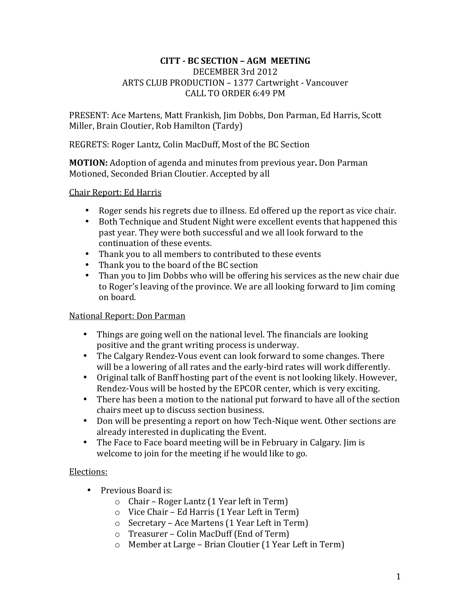#### **CITT - BC SECTION – AGM MEETING** DECEMBER 3rd 2012 ARTS CLUB PRODUCTION - 1377 Cartwright - Vancouver CALL TO ORDER 6:49 PM

PRESENT: Ace Martens, Matt Frankish, Jim Dobbs, Don Parman, Ed Harris, Scott Miller, Brain Cloutier, Rob Hamilton (Tardy)

REGRETS: Roger Lantz, Colin MacDuff, Most of the BC Section

**MOTION:** Adoption of agenda and minutes from previous year. Don Parman Motioned, Seconded Brian Cloutier. Accepted by all

### Chair Report: Ed Harris

- Roger sends his regrets due to illness. Ed offered up the report as vice chair.
- Both Technique and Student Night were excellent events that happened this past year. They were both successful and we all look forward to the continuation of these events.
- Thank you to all members to contributed to these events<br>• Thank you to the board of the BC section
- Thank you to the board of the BC section<br>• Than you to Jim Dobbs who will be offering
- Than you to Jim Dobbs who will be offering his services as the new chair due to Roger's leaving of the province. We are all looking forward to Jim coming on board.

# National Report: Don Parman

- Things are going well on the national level. The financials are looking positive and the grant writing process is underway.
- The Calgary Rendez-Vous event can look forward to some changes. There will be a lowering of all rates and the early-bird rates will work differently.
- Original talk of Banff hosting part of the event is not looking likely. However, Rendez-Vous will be hosted by the EPCOR center, which is very exciting.
- There has been a motion to the national put forward to have all of the section chairs meet up to discuss section business.
- Don will be presenting a report on how Tech-Nique went. Other sections are already interested in duplicating the Event.
- The Face to Face board meeting will be in February in Calgary. Jim is welcome to join for the meeting if he would like to go.

# Elections:

- Previous Board is:
	- $\circ$  Chair Roger Lantz (1 Year left in Term)
	- $\circ$  Vice Chair Ed Harris (1 Year Left in Term)
	- $\circ$  Secretary Ace Martens (1 Year Left in Term)
	- $\circ$  Treasurer Colin MacDuff (End of Term)
	- $\circ$  Member at Large Brian Cloutier (1 Year Left in Term)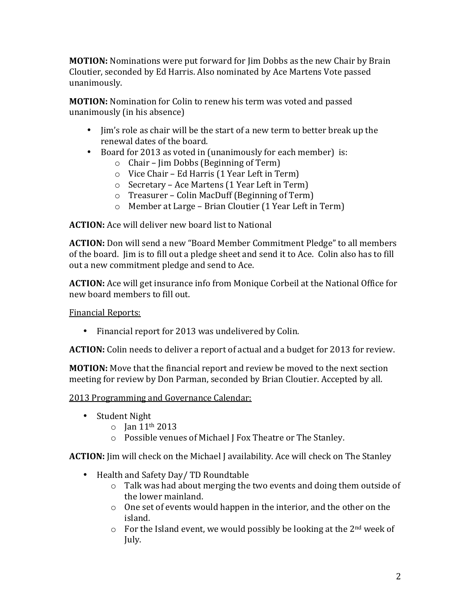**MOTION:** Nominations were put forward for  $\lim$  Dobbs as the new Chair by Brain Cloutier, seconded by Ed Harris. Also nominated by Ace Martens Vote passed unanimously. 

**MOTION:** Nomination for Colin to renew his term was voted and passed unanimously (in his absence)

- Jim's role as chair will be the start of a new term to better break up the renewal dates of the board.
- Board for 2013 as voted in (unanimously for each member) is:
	- $\circ$  Chair Jim Dobbs (Beginning of Term)
	- $\circ$  Vice Chair Ed Harris (1 Year Left in Term)
	- $\circ$  Secretary Ace Martens (1 Year Left in Term)
	- $\circ$  Treasurer Colin MacDuff (Beginning of Term)
	- $\circ$  Member at Large Brian Cloutier (1 Year Left in Term)

**ACTION:** Ace will deliver new board list to National

**ACTION:** Don will send a new "Board Member Commitment Pledge" to all members of the board. Jim is to fill out a pledge sheet and send it to Ace. Colin also has to fill out a new commitment pledge and send to Ace.

**ACTION:** Ace will get insurance info from Monique Corbeil at the National Office for new board members to fill out.

**Financial Reports:** 

• Financial report for 2013 was undelivered by Colin.

**ACTION:** Colin needs to deliver a report of actual and a budget for 2013 for review.

**MOTION:** Move that the financial report and review be moved to the next section meeting for review by Don Parman, seconded by Brian Cloutier. Accepted by all.

2013 Programming and Governance Calendar:

- Student Night
	- $\circ$  Jan 11<sup>th</sup> 2013
	- $\circ$  Possible venues of Michael J Fox Theatre or The Stanley.

**ACTION:** Jim will check on the Michael J availability. Ace will check on The Stanley

- Health and Safety Day/ TD Roundtable
	- $\circ$  Talk was had about merging the two events and doing them outside of the lower mainland.
	- $\circ$  One set of events would happen in the interior, and the other on the island.
	- $\circ$  For the Island event, we would possibly be looking at the 2<sup>nd</sup> week of July.